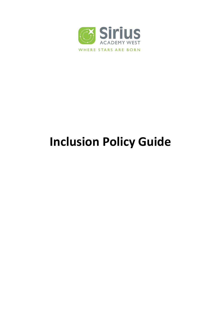

# **Inclusion Policy Guide**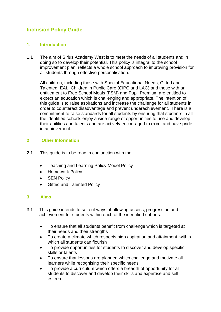# **Inclusion Policy Guide**

# **1. Introduction**

1.1 The aim of Sirius Academy West is to meet the needs of all students and in doing so to develop their potential. This policy is integral to the school improvement plan, reflects a whole school approach to improving provision for all students through effective personalisation.

All children, including those with Special Educational Needs, Gifted and Talented, EAL, Children in Public Care (CiPC and LAC) and those with an entitlement to Free School Meals (FSM) and Pupil Premium are entitled to expect an education which is challenging and appropriate. The intention of this guide is to raise aspirations and increase the challenge for all students in order to counteract disadvantage and prevent underachievement. There is a commitment to raise standards for all students by ensuring that students in all the identified cohorts enjoy a wide range of opportunities to use and develop their abilities and talents and are actively encouraged to excel and have pride in achievement.

# **2 Other Information**

- 2.1 This guide is to be read in conjunction with the:
	- Teaching and Learning Policy Model Policy
	- Homework Policy
	- SEN Policy
	- Gifted and Talented Policy

# **3 Aims**

- 3.1 This guide intends to set out ways of allowing access, progression and achievement for students within each of the identified cohorts:
	- To ensure that all students benefit from challenge which is targeted at their needs and their strengths
	- To create a climate which respects high aspiration and attainment, within which all students can flourish
	- To provide opportunities for students to discover and develop specific skills or talents
	- To ensure that lessons are planned which challenge and motivate all learners while recognising their specific needs
	- To provide a curriculum which offers a breadth of opportunity for all students to discover and develop their skills and expertise and self esteem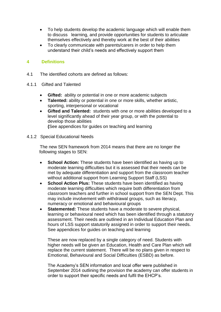- To help students develop the academic language which will enable them to discuss learning, and provide opportunities for students to articulate themselves effectively and thereby work at the best of their abilities
- To clearly communicate with parents/carers in order to help them understand their child's needs and effectively support them

## **4 Definitions**

- 4.1 The identified cohorts are defined as follows:
- 4.1.1 Gifted and Talented
	- **Gifted:** ability or potential in one or more academic subjects
	- **Talented:** ability or potential in one or more skills, whether artistic, sporting, interpersonal or vocational
	- **Gifted and Talented:** students with one or more abilities developed to a level significantly ahead of their year group, or with the potential to develop those abilities

**(**See appendices for guides on teaching and learning

4.1.2 Special Educational Needs

The new SEN framework from 2014 means that there are no longer the following stages to SEN:

- **School Action:** These students have been identified as having up to moderate learning difficulties but it is assessed that their needs can be met by adequate differentiation and support from the classroom teacher without additional support from Learning Support Staff (LSS)
- **School Action Plus:** These students have been identified as having moderate learning difficulties which require both differentiation from classroom teachers and further in school support from the SEN Dept. This may include involvement with withdrawal groups, such as literacy, numeracy or emotional and behavioural groups
- **Statemented:** These students have a moderate to severe physical, learning or behavioural need which has been identified through a statutory assessment. Their needs are outlined in an Individual Education Plan and hours of LSS support statutorily assigned in order to support their needs. See appendices for guides on teaching and learning

These are now replaced by a single category of need. Students with higher needs will be given an Education, Health and Care Plan which will replace the current statement. There will be no plans given in respect to Emotional, Behavioural and Social Difficulties (ESBD) as before.

The Academy's SEN information and local offer were published in September 2014 outlining the provision the academy can offer students in order to support their specific needs and fulfil the EHCP's.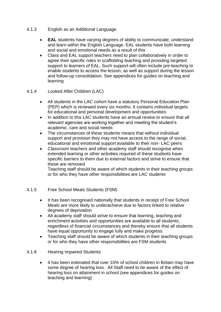- 4.1.3 English as an Additional Language
	- **EAL** students have varying degrees of ability to communicate, understand and learn within the English Language. EAL students have both learning and social and emotional needs as a result of this
	- Class and EAL support teachers need to plan collaboratively in order to agree their specific roles in scaffolding teaching and providing targeted support to learners of EAL. Such support will often include pre-teaching to enable students to access the lesson, as well as support during the lesson and follow-up consolidation. See appendices for guides on teaching and learning

## 4.1.4 Looked After Children (LAC)

- All students in the LAC cohort have a statutory Personal Education Plan (PEP) which is reviewed every six months. It contains individual targets for educational and personal development and opportunities
- In addition to this LAC students have an annual review to ensure that all relevant agencies are working together and meeting the student's academic, care and social needs
- The circumstances of these students means that without individual support and provision they may not have access to the range of social, educational and emotional support available to their non- LAC peers
- Classroom teachers and other academy staff should recognise when extended learning or other activities required of these students have specific barriers to them due to external factors and strive to ensure that these are removed

Teaching staff should be aware of which students in their teaching groups or for who they have other responsibilities are LAC students

- 4.1.5 Free School Meals Students (FSM)
	- It has been recognised nationally that students in receipt of Free School Meals are more likely to underachieve due to factors linked to relative degrees of deprivation
	- All academy staff should strive to ensure that learning, teaching and enrichment activities and opportunities are available to all students, regardless of financial circumstances and thereby ensure that all students have equal opportunity to engage fully and make progress
	- Teaching staff should be aware of which students in their teaching groups or for who they have other responsibilities are FSM students
- 4.1.6 Hearing Impaired Students
	- It has been estimated that over 10% of school children in Britain may have some degree of hearing loss. All Staff need to be aware of the effect of hearing loss on attainment in school (see appendices for guides on teaching and learning)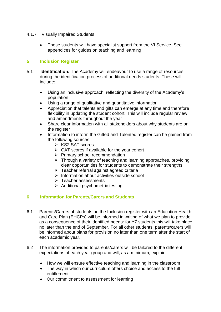- 4.1.7 Visually Impaired Students
	- These students will have specialist support from the VI Service. See appendices for guides on teaching and learning

# **5 Inclusion Register**

- 5.1 **Identification:** The Academy will endeavour to use a range of resources during the identification process of additional needs students. These will include:
	- Using an inclusive approach, reflecting the diversity of the Academy's population
	- Using a range of qualitative and quantitative information
	- Appreciation that talents and gifts can emerge at any time and therefore flexibility in updating the student cohort. This will include regular review and amendments throughout the year
	- Share clear information with all stakeholders about why students are on the register
	- Information to inform the Gifted and Talented register can be gained from the following sources:
		- $\triangleright$  KS2 SAT scores
		- $\triangleright$  CAT scores if available for the year cohort
		- $\triangleright$  Primary school recommendation
		- $\triangleright$  Through a variety of teaching and learning approaches, providing clear opportunities for students to demonstrate their strengths
		- $\triangleright$  Teacher referral against agreed criteria
		- $\triangleright$  Information about activities outside school
		- $\triangleright$  Teacher assessments
		- $\triangleright$  Additional psychometric testing

# **6 Information for Parents/Carers and Students**

- 6.1 Parents/Carers of students on the Inclusion register with an Education Health and Care Plan (EHCPs) will be informed in writing of what we plan to provide as a consequence of their identified needs: for Y7 students this will take place no later than the end of September. For all other students, parents/carers will be informed about plans for provision no later than one term after the start of each academic year.
- 6.2 The information provided to parents/carers will be tailored to the different expectations of each year group and will, as a minimum, explain:
	- How we will ensure effective teaching and learning in the classroom
	- The way in which our curriculum offers choice and access to the full entitlement
	- Our commitment to assessment for learning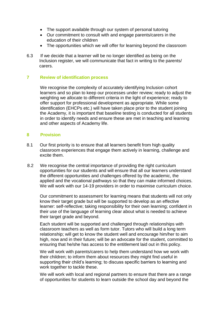- The support available through our system of personal tutoring
- Our commitment to consult with and engage parents/carers in the education of their children
- The opportunities which we will offer for learning beyond the classroom
- 6.3 If we decide that a learner will be no longer identified as being on the Inclusion register, we will communicate that fact in writing to the parents/ carers.

#### **7 Review of identification process**

We recognise the complexity of accurately identifying Inclusion cohort learners and so plan to keep our processes under review; ready to adjust the weighting we allocate to different criteria in the light of experience; ready to offer support for professional development as appropriate. While some identification (EHCPs etc.) will have taken place prior to the student joining the Academy, it is important that baseline testing is conducted for all students in order to identify needs and ensure these are met in teaching and learning and other aspects of Academy life.

#### **8 Provision**

- 8.1 Our first priority is to ensure that all learners benefit from high quality classroom experiences that engage them actively in learning, challenge and excite them.
- 8.2 We recognise the central importance of providing the right curriculum opportunities for our students and will ensure that all our learners understand the different opportunities and challenges offered by the academic, the applied and the vocational pathways so that they can make informed choices. We will work with our 14-19 providers in order to maximise curriculum choice.

Our commitment to assessment for learning means that students will not only know their target grade but will be supported to develop as an effective learner: self-reflective; taking responsibility for their own learning; confident in their use of the language of learning clear about what is needed to achieve their target grade and beyond.

Each student will be supported and challenged through relationships with classroom teachers as well as form tutor. Tutors who will build a long term relationship; will get to know the student well and encourage him/her to aim high, now and in their future; will be an advocate for the student, committed to ensuring that he/she has access to the entitlement laid out in this policy.

We will work with parents/carers to help them understand how we work with their children; to inform them about resources they might find useful in supporting their child's learning; to discuss specific barriers to learning and work together to tackle these.

We will work with local and regional partners to ensure that there are a range of opportunities for students to learn outside the school day and beyond the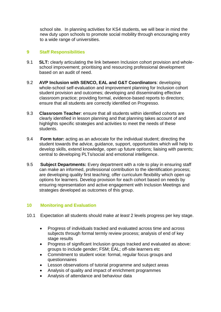school site. In planning activities for KS4 students, we will bear in mind the new duty upon schools to promote social mobility through encouraging entry to a wide range of universities.

## **9 Staff Responsibilities**

- 9.1 **SLT:** clearly articulating the link between Inclusion cohort provision and wholeschool improvement; prioritising and resourcing professional development based on an audit of need.
- 9.2 **AVP Inclusion with SENCO, EAL and G&T Coordinators**: developing whole-school self-evaluation and improvement planning for Inclusion cohort student provision and outcomes; developing and disseminating effective classroom practice; providing formal, evidence-based reports to directors; ensure that all students are correctly identified on Progresso.
- 9.3 **Classroom Teacher**: ensure that all students within identified cohorts are clearly identified in lesson planning and that planning takes account of and highlights specific strategies and activities to meet the needs of these students.
- 9.4 **Form tutor:** acting as an advocate for the individual student; directing the student towards the advice, guidance, support, opportunities which will help to develop skills, extend knowledge, open up future options; liaising with parents; central to developing PLTs/social and emotional intelligence.
- 9.5 **Subject Departments:** Every department with a role to play in ensuring staff can make an informed, professional contribution to the identification process; are developing quality first teaching; offer curriculum flexibility which open up options for learners. Develop provision for each cohort based on needs by ensuring representation and active engagement with Inclusion Meetings and strategies developed as outcomes of this group.

# **10 Monitoring and Evaluation**

- 10.1 Expectation all students should make *at least* 2 levels progress per key stage.
	- Progress of individuals tracked and evaluated across time and across subjects through formal termly review process; analysis of end of key stage results
	- Progress of significant Inclusion groups tracked and evaluated as above: groups to include gender; FSM; EAL; off-site learners etc
	- Commitment to student voice: formal, regular focus groups and questionnaires
	- Lesson observations of tutorial programme and subject areas
	- Analysis of quality and impact of enrichment programmes
	- Analysis of attendance and behaviour data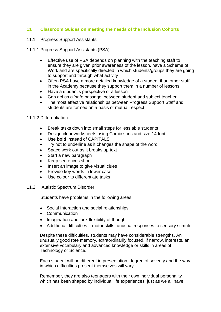## **11 Classroom Guides on meeting the needs of the Inclusion Cohorts**

#### 11.1 Progress Support Assistants

- 11.1.1 Progress Support Assistants (PSA)
	- Effective use of PSA depends on planning with the teaching staff to ensure they are given prior awareness of the lesson, have a Scheme of Work and are specifically directed in which students/groups they are going to support and through what activity
	- Often PSA have a more detailed knowledge of a student than other staff in the Academy because they support them in a number of lessons
	- Have a student's perspective of a lesson
	- Can act as a 'safe passage' between student and subject teacher
	- The most effective relationships between Progress Support Staff and students are formed on a basis of mutual respect

#### 11.1.2 Differentiation:

- Break tasks down into small steps for less able students
- Design clear worksheets using Comic sans and size 14 font
- Use **bold** instead of CAPITALS
- Try not to underline as it changes the shape of the word
- Space work out as it breaks up text
- Start a new paragraph
- Keep sentences short
- Insert an image to give visual clues
- Provide key words in lower case
- Use colour to differentiate tasks
- 11.2 Autistic Spectrum Disorder

Students have problems in the following areas:

- Social Interaction and social relationships
- Communication
- Imagination and lack flexibility of thought
- Additional difficulties motor skills, unusual responses to sensory stimuli

Despite these difficulties, students may have considerable strengths. An unusually good rote memory, extraordinarily focused, if narrow, interests, an extensive vocabulary and advanced knowledge or skills in areas of Technology or Science.

Each student will be different in presentation, degree of severity and the way in which difficulties present themselves will vary.

Remember, they are also teenagers with their own individual personality which has been shaped by individual life experiences, just as we all have.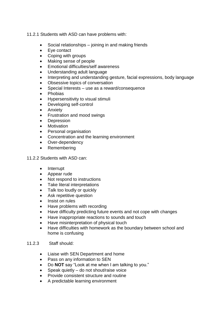11.2.1 Students with ASD can have problems with:

- Social relationships joining in and making friends
- Eye contact
- Coping with groups
- Making sense of people
- Emotional difficulties/self awareness
- Understanding adult language
- Interpreting and understanding gesture, facial expressions, body language
- Obsessive topics of conversation
- Special Interests use as a reward/consequence
- Phobias
- Hypersensitivity to visual stimuli
- Developing self-control
- Anxiety
- Frustration and mood swings
- Depression
- Motivation
- Personal organisation
- Concentration and the learning environment
- Over-dependency
- Remembering

#### 11.2.2 Students with ASD can:

- Interrupt
- Appear rude
- Not respond to instructions
- Take literal interpretations
- Talk too loudly or quickly
- Ask repetitive question
- Insist on rules
- Have problems with recording
- Have difficulty predicting future events and not cope with changes
- Have inappropriate reactions to sounds and touch
- Have misinterpretation of physical touch
- Have difficulties with homework as the boundary between school and home is confusing

#### 11.2.3 Staff should:

- Liaise with SEN Department and home
- Pass on any information to SEN
- Do **NOT** say "Look at me when I am talking to you."
- Speak quietly do not shout/raise voice
- Provide consistent structure and routine
- A predictable learning environment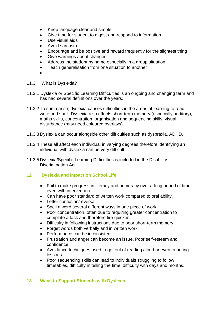- Keep language clear and simple
- Give time for student to digest and respond to information
- Use visual aids
- Avoid sarcasm
- Encourage and be positive and reward frequently for the slightest thing
- Give warnings about changes
- Address the student by name especially in a group situation
- Teach generalisation from one situation to another
- $\bullet$
- 11.3 What is Dyslexia?
- 11.3.1 Dyslexia or Specific Learning Difficulties is an ongoing and changing term and has had several definitions over the years.
- 11.3.2 To summarise; dyslexia causes difficulties in the areas of learning to read, write and spell. Dyslexia also effects short-term memory (especially auditory), maths skills, concentration, organisation and sequencing skills, visual disturbance (may need coloured overlays).
- 11.3.3 Dyslexia can occur alongside other difficulties such as dyspraxia, ADHD.
- 11.3.4 These all affect each individual in varying degrees therefore identifying an individual with dyslexia can be very difficult.
- 11.3.5 Dyslexia/Specific Learning Difficulties is included in the Disability Discrimination Act.

#### **12 Dyslexia and Impact on School Life**

- Fail to make progress in literacy and numeracy over a long period of time even with intervention
- Can have poor standard of written work compared to oral ability.
- Letter confusion/reversal
- Spell a word several different ways in one piece of work
- Poor concentration, often due to requiring greater concentration to complete a task and therefore tire quicker.
- Difficulty in following instructions due to poor short-term memory.
- Forget words both verbally and in written work.
- Performance can be inconsistent.
- Frustration and anger can become an issue. Poor self-esteem and confidence.
- Avoidance techniques used to get out of reading aloud or even truanting lessons.
- Poor sequencing skills can lead to individuals struggling to follow timetables, difficulty in telling the time, difficulty with days and months.

#### **13 Ways to Support Students with Dyslexia**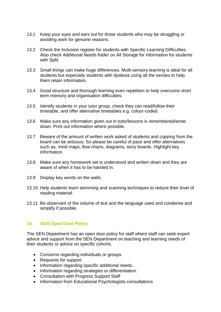- 13.1 Keep your eyes and ears out for those students who may be struggling or avoiding work for genuine reasons.
- 13.2 Check the Inclusion register for students with Specific Learning Difficulties. Also check Additional Needs folder on All Storage for information for students with Spld.
- 13.3 Small things can make huge differences. Multi-sensory learning is ideal for all students but especially students with dyslexia using all the senses to help them retain information.
- 13.4 Good structure and thorough learning even repetition to help overcome short term memory and organisation difficulties.
- 13.5 Identify students in your tutor group, check they can read/follow their timetable, and offer alternative timetables e.g. colour-coded.
- 13.6 Make sure any information given out in tutor/lessons is remembered/wrote down. Print out information where possible.
- 13.7 Beware of the amount of written work asked of students and copying from the board can be arduous. So please be careful of pace and offer alternatives such as, mind maps, flow charts, diagrams, story boards. Highlight key information.
- 13.8 Make sure any homework set is understood and written down and they are aware of when it has to be handed in.
- 13.9 Display key words on the walls.
- 13.10 Help students learn skimming and scanning techniques to reduce their level of reading material.
- 13.11 Be observant of the volume of text and the language used and condense and simplify if possible.

#### **14. SEN Open Door Policy**

The SEN Department has an open door policy for staff where staff can seek expert advice and support from the SEN Department on teaching and learning needs of their students or advice on specific cohorts.

- Concerns regarding individuals or groups.
- Requests for support.
- Information regarding specific additional needs.
- Information regarding strategies or differentiation.
- Consultation with Progress Support Staff
- Information from Educational Psychologists consultations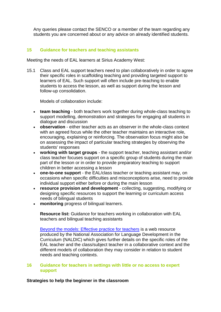Any queries please contact the SENCO or a member of the team regarding any students you are concerned about or any advice on already identified students.

## **15 Guidance for teachers and teaching assistants**

Meeting the needs of EAL learners at Sirius Academy West:

15.1 Class and EAL support teachers need to plan collaboratively in order to agree their specific roles in scaffolding teaching and providing targeted support to learners of EAL. Such support will often include pre-teaching to enable students to access the lesson, as well as support during the lesson and follow-up consolidation.

Models of collaboration include:

- **team teaching** both teachers work together during whole-class teaching to support modelling, demonstration and strategies for engaging all students in dialogue and discussion
- **observation** either teacher acts as an observer in the whole-class context with an agreed focus while the other teacher maintains an interactive role, encouraging, explaining or reinforcing. The observation focus might also be on assessing the impact of particular teaching strategies by observing the students' responses
- **working with target groups** the support teacher, teaching assistant and/or class teacher focuses support on a specific group of students during the main part of the lesson or in order to provide preparatory teaching to support children in better accessing a lesson
- **one-to-one support** the EAL/class teacher or teaching assistant may, on occasions when specific difficulties and misconceptions arise, need to provide individual support either before or during the main lesson
- **resource provision and development** collecting, suggesting, modifying or designing specific resources to support the learning or curriculum access needs of bilingual students
- **monitoring** progress of bilingual learners.

**Resource list:** Guidance for teachers working in collaboration with EAL teachers and bilingual teaching assistants

[Beyond the models: Effective practice for teachers](http://www.naldic.org.uk/ITTSEAL2/teaching/Effectivepractice.cfm) is a web resource produced by the National Association for Language Development in the Curriculum (NALDIC) which gives further details on the specific roles of the EAL teacher and the class/subject teacher in a collaborative context and the different models of collaboration they may consider in relation to student needs and teaching contexts.

#### **16 Guidance for teachers in settings with little or no access to expert support**

#### **Strategies to help the beginner in the classroom**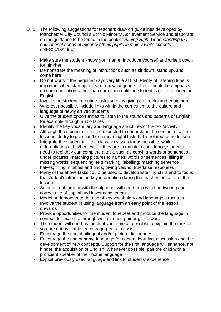- 16.1 The following suggestions for teachers draw on guidelines developed by Manchester City Council's Ethnic Minority Achievement Service and elaborate on the guidance to be found in the booklet *Aiming High: Understanding the educational needs of minority ethnic pupils in mainly white schools* (DfES0416/2004).
	- Make sure the student knows your name. Introduce yourself and write it down for him/her
	- Demonstrate the meaning of instructions such as sit down, stand up, and come here
	- Do not worry if the beginner says very little at first. Plenty of listening time is important when starting to learn a new language. There should be emphasis on communication rather than correction until the student is more confident in **English**
	- Involve the student in routine tasks such as giving out books and equipment.
	- Wherever possible, include links within the curriculum to the culture and language of newly arrived students
	- Give the student opportunities to listen to the sounds and patterns of English, for example through audio tapes
	- Identify the key vocabulary and language structures of the text/activity
	- Although the student cannot be expected to understand the content of all the lessons, do try to give him/her a meaningful task that is related to the lesson
	- Integrate the student into the class activity as far as possible, while differentiating at his/her level. If they are to maintain confidence, students need to feel they can complete a task, such as copying words or sentences under pictures; matching pictures to names, words or sentences; filling in missing words; sequencing; text marking; labelling; matching sentence halves; filling in tables and grids; giving yes/no, true/false responses
	- Many of the above tasks could be used to develop listening skills and to focus the student's attention on key information during the teacher led parts of the lesson
	- Students not familiar with the alphabet will need help with handwriting and correct use of capital and lower case letters
	- Model or demonstrate the use of key vocabulary and language structures.
	- Involve the student in using language from an early point of the lesson onwards
	- Provide opportunities for the student to repeat and produce the language in context, for example through well-planned pair or group work
	- The student will need as much of your time as possible to explain the tasks. If you are not available, encourage peers to assist
	- Encourage the use of bilingual and/or picture dictionaries
	- Encourage the use of home language for content learning, discussion and the development of new concepts. Support for the first language will enhance, not hinder, the acquisition of English. Whenever possible, pair the child with a proficient speaker of their home language
	- Exploit previously used language and link to students' experience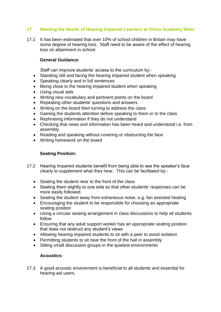# **17 Meeting the Needs of Hearing Impaired Learners at Sirius Academy West**

17.1 It has been estimated that over 10% of school children in Britain may have some degree of hearing loss. Staff need to be aware of the effect of hearing loss on attainment in school.

## **General Guidance:**

Staff can improve students' access to the curriculum by:-

- Standing still and facing the hearing impaired student when speaking
- Speaking clearly and in full sentences
- Being close to the hearing impaired student when speaking
- Using visual aids
- Writing new vocabulary and pertinent points on the board
- Repeating other students' questions and answers
- Writing on the board then turning to address the class
- Gaining the students attention before speaking to them or to the class
- Rephrasing information if they do not understand
- Checking that news and information has been heard and understood i.e. from assembly
- Reading and speaking without covering or obstructing the face
- Writing homework on the board

# **Seating Position:**

- 17.2 Hearing Impaired students benefit from being able to see the speaker's face clearly to supplement what they hear. This can be facilitated by:-
	- Seating the student near to the front of the class
	- Seating them slightly to one side so that other students' responses can be more easily followed.
	- Seating the student away from extraneous noise, e.g. fan assisted heating
	- Encouraging the student to be responsible for choosing an appropriate seating position
	- Using a circular seating arrangement in class discussions to help all students follow
	- Ensuring that any adult support worker has an appropriate seating position that does not obstruct any student's views
	- Allowing hearing impaired students to sit with a peer to avoid isolation
	- Permitting students to sit near the front of the hall in assembly
	- Sitting small discussion groups in the quietest environments

# **Acoustics:**

17.3 A good acoustic environment is beneficial to all students and essential for hearing aid users.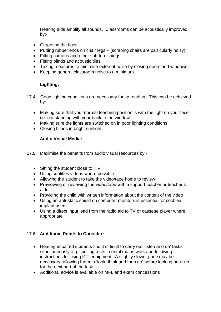Hearing aids amplify all sounds. Classrooms can be acoustically improved by:-

- Carpeting the floor
- Putting rubber ends on chair legs (scraping chairs are particularly noisy)
- Fitting curtains and other soft furnishings
- Fitting blinds and acoustic tiles
- Taking measures to minimise external noise by closing doors and windows
- Keeping general classroom noise to a minimum

# **Lighting:**

- 17.4 Good lighting conditions are necessary for lip reading. This can be achieved by:-
	- Making sure that your normal teaching position is with the light on your face i.e. not standing with your back to the window.
	- Making sure the lights are switched on in poor lighting conditions
	- Closing blinds in bright sunlight

# **Audio Visual Media:**

- **17.5** Maximise the benefits from audio visual resources by:-
	- Sitting the student close to T.V.
	- Using subtitles videos where possible
	- Allowing the student to take the video/tape home to review
	- Previewing or reviewing the video/tape with a support teacher or teacher's aide
	- Providing the child with written information about the content of the video
	- Using an anti-static shield on computer monitors is essential for cochlea implant users
	- Using a direct input lead from the radio aid to TV or cassette player where appropriate

# 17.6 **Additional Points to Consider:**

- Hearing impaired students find it difficult to carry out 'listen and do' tasks simultaneously e.g. spelling tests, mental maths work and following instructions for using ICT equipment. A slightly slower pace may be necessary, allowing them to 'look, think and then do' before looking back up for the next part of the task
- Additional advice is available on MFL and exam concessions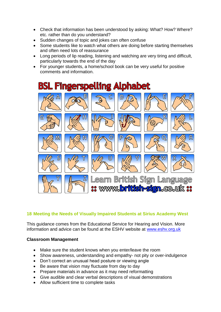- Check that information has been understood by asking: What? How? Where? etc. rather than do you understand?
- Sudden changes of topic and jokes can often confuse
- Some students like to watch what others are doing before starting themselves and often need lots of reassurance
- Long periods of lip reading, listening and watching are very tiring and difficult, particularly towards the end of the day
- For younger students, a home/school book can be very useful for positive comments and information.



# **18 Meeting the Needs of Visually Impaired Students at Sirius Academy West**

This guidance comes from the Educational Service for Hearing and Vision. More information and advice can be found at the ESHV website at [www.eshv.org.uk](http://www.eshv.org.uk/)

# **Classroom Management**

- Make sure the student knows when you enter/leave the room
- Show awareness, understanding and empathy- not pity or over-indulgence
- Don't correct an unusual head posture or viewing angle
- Be aware that vision may fluctuate from day to day
- Prepare materials in advance as it may need reformatting
- Give audible and clear verbal descriptions of visual demonstrations
- Allow sufficient time to complete tasks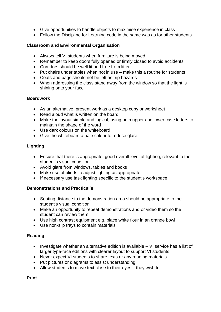- Give opportunities to handle objects to maximise experience in class
- Follow the Discipline for Learning code in the same was as for other students

# **Classroom and Environmental Organisation**

- Always tell VI students when furniture is being moved
- Remember to keep doors fully opened or firmly closed to avoid accidents
- Corridors should be well lit and free from litter
- Put chairs under tables when not in use make this a routine for students
- Coats and bags should not be left as trip hazards
- When addressing the class stand away from the window so that the light is shining onto your face

# **Boardwork**

- As an alternative, present work as a desktop copy or worksheet
- Read aloud what is written on the board
- Make the layout simple and logical, using both upper and lower case letters to maintain the shape of the word
- Use dark colours on the whiteboard
- Give the whiteboard a pale colour to reduce glare

# **Lighting**

- Ensure that there is appropriate, good overall level of lighting, relevant to the student's visual condition
- Avoid glare from windows, tables and books
- Make use of blinds to adjust lighting as appropriate
- If necessary use task lighting specific to the student's workspace

# **Demonstrations and Practical's**

- Seating distance to the demonstration area should be appropriate to the student's visual condition
- Make an opportunity to repeat demonstrations and or video them so the student can review them
- Use high contrast equipment e.g. place white flour in an orange bowl
- Use non-slip trays to contain materials

# **Reading**

- Investigate whether an alternative edition is available VI service has a list of larger type-face editions with clearer layout to support VI students
- Never expect VI students to share texts or any reading materials
- Put pictures or diagrams to assist understanding
- Allow students to move text close to their eyes if they wish to

**Print**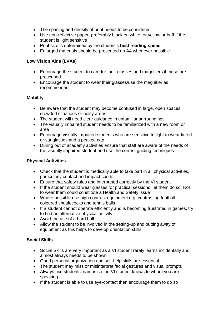- The spacing and density of print needs to be considered
- Use non-reflective paper, preferably black on white, or yellow or buff if the student is light sensitive
- Print size is determined by the student's **best reading speed**
- Enlarged materials should be presented on A4 whenever possible

# **Low Vision Aids (LVAs)**

- Encourage the student to care for their glasses and magnifiers if these are prescribed
- Encourage the student to wear their glasses/use the magnifier as recommended

# **Mobility**

- Be aware that the student may become confused in large, open spaces, crowded situations or noisy areas
- The student will need clear guidance in unfamiliar surroundings
- The visually impaired student needs to be familiarized with a new room or area
- Encourage visually impaired students who are sensitive to light to wear tinted or sunglasses and a peaked cap
- During out of academy activities ensure that staff are aware of the needs of the visually impaired student and use the correct guiding techniques

# **Physical Activities**

- Check that the student is medically able to take part in all physical activities, particularly contact and impact sports
- Ensure that safety rules and interpreted correctly by the VI student
- If the student should wear glasses for practical sessions, let them do so. Not to wear them could constitute a Health and Safety issue
- Where possible use high contrast equipment e.g. contrasting football, coloured shuttlecocks and tennis balls
- If a student cannot operate efficiently and is becoming frustrated in games, try to find an alternative physical activity
- Avoid the use of a hard ball
- Allow the student to be involved in the setting-up and putting away of equipment as this helps to develop orientation skills

# **Social Skills**

- Social Skills are very important as a VI student rarely learns incidentally and almost always needs to be shown
- Good personal organization and self-help skills are essential
- The student may miss or misinterpret facial gestures and visual prompts
- Always use students' names so the VI student knows to whom you are speaking
- If the student is able to use eye-contact then encourage them to do so